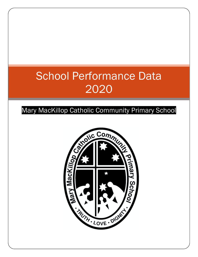# School Performance Data 2020

### Mary MacKillop Catholic Community Primary School

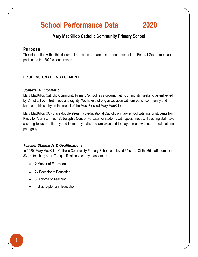## **School Performance Data 2020**

#### **Mary MacKillop Catholic Community Primary School**

#### **Purpose**

The information within this document has been prepared as a requirement of the Federal Government and pertains to the 2020 calendar year.

#### **PROFESSIONAL ENGAGEMENT**

#### *Contextual Information*

Mary MacKillop Catholic Community Primary School, as a growing faith Community, seeks to be enlivened by Christ to live in truth, love and dignity. We have a strong association with our parish community and base our philosophy on the model of the Most Blessed Mary MacKillop.

Mary MacKillop CCPS is a double stream, co-educational Catholic primary school catering for students from Kindy to Year Six. In our St Joseph's Centre, we cater for students with special needs. Teaching staff have a strong focus on Literacy and Numeracy skills and are expected to stay abreast with current educational pedagogy.

#### *Teacher Standards & Qualifications*

In 2020, Mary MacKillop Catholic Community Primary School employed 65 staff. Of the 65 staff members 33 are teaching staff. The qualifications held by teachers are:

- 2 Master of Education
- 24 Bachelor of Education
- 3 Diploma of Teaching
- 4 Grad Diploma in Education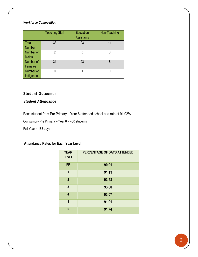#### *Workforce Composition*

|                               | <b>Teaching Staff</b> | <b>Education</b><br><b>Assistants</b> | Non-Teaching |
|-------------------------------|-----------------------|---------------------------------------|--------------|
| <b>Total</b><br><b>Number</b> | 33                    | 23                                    | 11           |
| Number of<br><b>Males</b>     | 2                     | 0                                     | 3            |
| Number of<br><b>Females</b>   | 31                    | 23                                    | 8            |
| Number of<br>Indigenous       |                       |                                       |              |

#### **Student Outcomes**

#### *Student Attendance*

Each student from Pre Primary – Year 6 attended school at a rate of 91.92%

Compulsory Pre Primary – Year 6 = 450 students

Full Year = 188 days

#### **Attendance Rates for Each Year Level**

| <b>YEAR</b><br><b>LEVEL</b> | PERCENTAGE OF DAYS ATTENDED |
|-----------------------------|-----------------------------|
| <b>PP</b>                   | 90.01                       |
| 1                           | 91.13                       |
| $\overline{2}$              | 93.53                       |
| 3                           | 93.00                       |
| 4                           | 93.07                       |
| 5                           | 91.01                       |
| $6\phantom{1}$              | 91.74                       |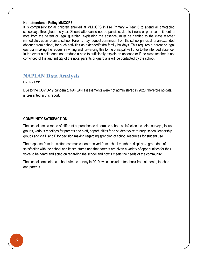#### **Non-attendance Policy MMCCPS**

It is compulsory for all children enrolled at MMCCPS in Pre Primary – Year 6 to attend all timetabled schooldays throughout the year. Should attendance not be possible, due to illness or prior commitment, a note from the parent or legal guardian, explaining the absence, must be handed to the class teacher immediately upon return to school. Parents may request permission from the school principal for an extended absence from school, for such activities as extended/extra family holidays. This requires a parent or legal guardian making the request in writing and forwarding this to the principal well prior to the intended absence. In the event a child does not produce a note to sufficiently explain an absence or if the class teacher is not convinced of the authenticity of the note, parents or guardians will be contacted by the school.

#### **NAPLAN Data Analysis**

#### **OVERVIEW:**

Due to the COVID-19 pandemic, NAPLAN assessments were not administered in 2020, therefore no data is presented in this report.

#### **COMMUNITY SATISFACTION**

The school uses a range of different approaches to determine school satisfaction including surveys, focus groups, various meetings for parents and staff, opportunities for a student voice through school leadership groups and via P and F for decision making regarding spending of school resources for student use.

The response from the written communication received from school members displays a great deal of satisfaction with the school and its structures and that parents are given a variety of opportunities for their voice to be heard and acted on regarding the school and how it meets the needs of the community.

The school completed a school climate survey in 2019, which included feedback from students, teachers and parents.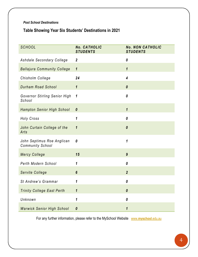#### *Post School Destinations*

### **Table Showing Year Six Students' Destinations in 2021**

| <b>SCHOOL</b>                                         | No. CATHOLIC<br><b>STUDENTS</b> | <b>No. NON CATHOLIC</b><br><b>STUDENTS</b> |
|-------------------------------------------------------|---------------------------------|--------------------------------------------|
| Ashdale Secondary College                             | $\boldsymbol{2}$                | 0                                          |
| <b>Ballajura Community College</b>                    | $\mathbf{1}$                    | $\mathbf{1}$                               |
| Chisholm College                                      | 24                              | $\overline{\mathbf{4}}$                    |
| Durham Road School                                    | $\mathbf{1}$                    | $\boldsymbol{\theta}$                      |
| Governor Stirling Senior High<br>School               | $\mathbf{1}$                    | 0                                          |
| Hampton Senior High School                            | $\boldsymbol{\theta}$           | $\mathbf{1}$                               |
| Holy Cross                                            | 1                               | 0                                          |
| John Curtain College of the<br>Arts                   | 1                               | $\boldsymbol{\theta}$                      |
| John Septimus Roe Anglican<br><b>Community School</b> | 0                               | $\mathbf{1}$                               |
| <b>Mercy College</b>                                  | 15                              | $\boldsymbol{9}$                           |
| Perth Modern School                                   | 1                               | 0                                          |
| <b>Servite College</b>                                | 6                               | $\overline{2}$                             |
| St Andrew's Grammar                                   | 1                               | 0                                          |
| <b>Trinity College East Perth</b>                     | $\mathbf{1}$                    | $\boldsymbol{\theta}$                      |
| Unknown                                               | 1                               | 0                                          |
| <b>Warwick Senior High School</b>                     | $\boldsymbol{0}$                | $\mathbf{1}$                               |

For any further information, please refer to the MySchool Website www.**[myschool](http://www.myschool.edu.au/)**.edu.au